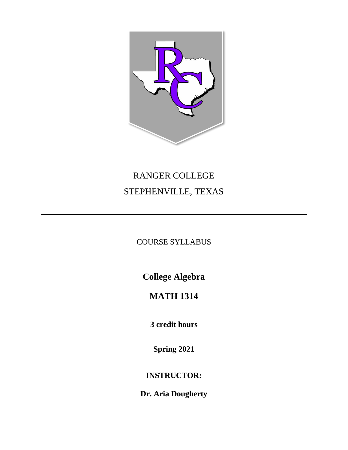

# RANGER COLLEGE STEPHENVILLE, TEXAS

COURSE SYLLABUS

**College Algebra**

# **MATH 1314**

**3 credit hours**

**Spring 2021**

**INSTRUCTOR:**

**Dr. Aria Dougherty**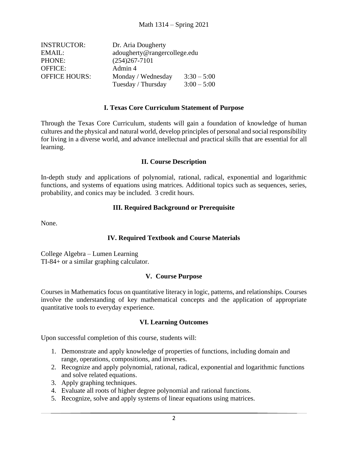| <b>INSTRUCTOR:</b>   | Dr. Aria Dougherty           |               |  |
|----------------------|------------------------------|---------------|--|
| EMAIL:               | adougherty@rangercollege.edu |               |  |
| PHONE:               | $(254)267 - 7101$            |               |  |
| <b>OFFICE:</b>       | Admin 4                      |               |  |
| <b>OFFICE HOURS:</b> | Monday / Wednesday           | $3:30 - 5:00$ |  |
|                      | Tuesday / Thursday           | $3:00 - 5:00$ |  |

#### **I. Texas Core Curriculum Statement of Purpose**

Through the Texas Core Curriculum, students will gain a foundation of knowledge of human cultures and the physical and natural world, develop principles of personal and social responsibility for living in a diverse world, and advance intellectual and practical skills that are essential for all learning.

#### **II. Course Description**

In-depth study and applications of polynomial, rational, radical, exponential and logarithmic functions, and systems of equations using matrices. Additional topics such as sequences, series, probability, and conics may be included. 3 credit hours.

#### **III. Required Background or Prerequisite**

None.

# **IV. Required Textbook and Course Materials**

College Algebra – Lumen Learning TI-84+ or a similar graphing calculator.

#### **V. Course Purpose**

Courses in Mathematics focus on quantitative literacy in logic, patterns, and relationships. Courses involve the understanding of key mathematical concepts and the application of appropriate quantitative tools to everyday experience.

# **VI. Learning Outcomes**

Upon successful completion of this course, students will:

- 1. Demonstrate and apply knowledge of properties of functions, including domain and range, operations, compositions, and inverses.
- 2. Recognize and apply polynomial, rational, radical, exponential and logarithmic functions and solve related equations.
- 3. Apply graphing techniques.
- 4. Evaluate all roots of higher degree polynomial and rational functions.
- 5. Recognize, solve and apply systems of linear equations using matrices.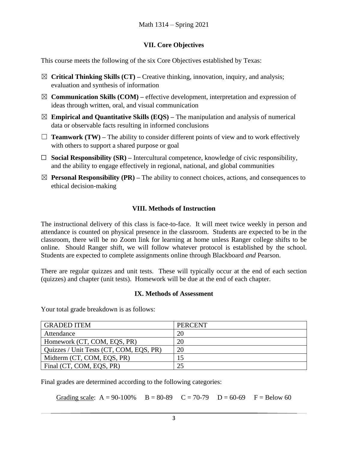# **VII. Core Objectives**

This course meets the following of the six Core Objectives established by Texas:

- ☒ **Critical Thinking Skills (CT) –** Creative thinking, innovation, inquiry, and analysis; evaluation and synthesis of information
- ☒ **Communication Skills (COM) –** effective development, interpretation and expression of ideas through written, oral, and visual communication
- $\boxtimes$  **Empirical and Quantitative Skills (EQS)** The manipulation and analysis of numerical data or observable facts resulting in informed conclusions
- $\Box$  **Teamwork (TW)** The ability to consider different points of view and to work effectively with others to support a shared purpose or goal
- $\Box$  **Social Responsibility (SR)** Intercultural competence, knowledge of civic responsibility, and the ability to engage effectively in regional, national, and global communities
- $\boxtimes$  **Personal Responsibility (PR)** The ability to connect choices, actions, and consequences to ethical decision-making

# **VIII. Methods of Instruction**

The instructional delivery of this class is face-to-face. It will meet twice weekly in person and attendance is counted on physical presence in the classroom. Students are expected to be in the classroom, there will be no Zoom link for learning at home unless Ranger college shifts to be online. Should Ranger shift, we will follow whatever protocol is established by the school. Students are expected to complete assignments online through Blackboard *and* Pearson.

There are regular quizzes and unit tests. These will typically occur at the end of each section (quizzes) and chapter (unit tests). Homework will be due at the end of each chapter.

# **IX. Methods of Assessment**

Your total grade breakdown is as follows:

| <b>GRADED ITEM</b>                      | <b>PERCENT</b> |
|-----------------------------------------|----------------|
| Attendance                              | 20             |
| Homework (CT, COM, EQS, PR)             | 20             |
| Quizzes / Unit Tests (CT, COM, EQS, PR) | 20             |
| Midterm (CT, COM, EQS, PR)              |                |
| Final (CT, COM, EQS, PR)                |                |

Final grades are determined according to the following categories:

Grading scale:  $A = 90-100\%$   $B = 80-89$   $C = 70-79$   $D = 60-69$   $F = Below 60$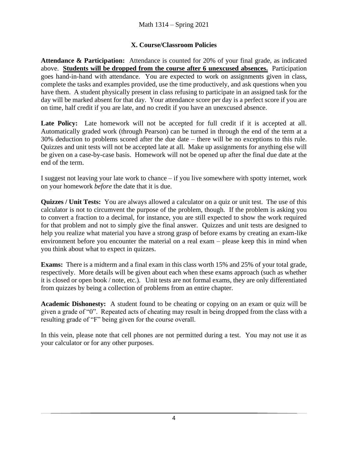# **X. Course/Classroom Policies**

**Attendance & Participation:** Attendance is counted for 20% of your final grade, as indicated above. **Students will be dropped from the course after 6 unexcused absences.** Participation goes hand-in-hand with attendance. You are expected to work on assignments given in class, complete the tasks and examples provided, use the time productively, and ask questions when you have them. A student physically present in class refusing to participate in an assigned task for the day will be marked absent for that day. Your attendance score per day is a perfect score if you are on time, half credit if you are late, and no credit if you have an unexcused absence.

Late Policy: Late homework will not be accepted for full credit if it is accepted at all. Automatically graded work (through Pearson) can be turned in through the end of the term at a 30% deduction to problems scored after the due date – there will be no exceptions to this rule. Quizzes and unit tests will not be accepted late at all. Make up assignments for anything else will be given on a case-by-case basis. Homework will not be opened up after the final due date at the end of the term.

I suggest not leaving your late work to chance – if you live somewhere with spotty internet, work on your homework *before* the date that it is due.

**Quizzes / Unit Tests:** You are always allowed a calculator on a quiz or unit test. The use of this calculator is not to circumvent the purpose of the problem, though. If the problem is asking you to convert a fraction to a decimal, for instance, you are still expected to show the work required for that problem and not to simply give the final answer. Quizzes and unit tests are designed to help you realize what material you have a strong grasp of before exams by creating an exam-like environment before you encounter the material on a real exam – please keep this in mind when you think about what to expect in quizzes.

**Exams:** There is a midterm and a final exam in this class worth 15% and 25% of your total grade, respectively. More details will be given about each when these exams approach (such as whether it is closed or open book / note, etc.). Unit tests are not formal exams, they are only differentiated from quizzes by being a collection of problems from an entire chapter.

**Academic Dishonesty:** A student found to be cheating or copying on an exam or quiz will be given a grade of "0". Repeated acts of cheating may result in being dropped from the class with a resulting grade of "F" being given for the course overall.

In this vein, please note that cell phones are not permitted during a test. You may not use it as your calculator or for any other purposes.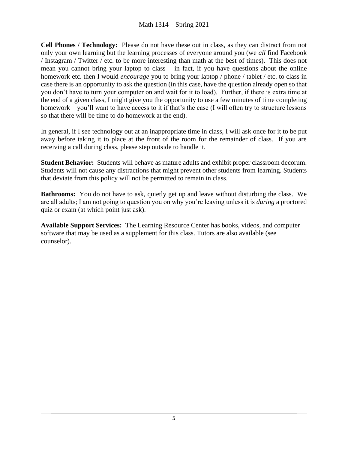**Cell Phones / Technology:** Please do not have these out in class, as they can distract from not only your own learning but the learning processes of everyone around you (we *all* find Facebook / Instagram / Twitter / etc. to be more interesting than math at the best of times). This does not mean you cannot bring your laptop to class – in fact, if you have questions about the online homework etc. then I would *encourage* you to bring your laptop / phone / tablet / etc. to class in case there is an opportunity to ask the question (in this case, have the question already open so that you don't have to turn your computer on and wait for it to load). Further, if there is extra time at the end of a given class, I might give you the opportunity to use a few minutes of time completing homework – you'll want to have access to it if that's the case (I will often try to structure lessons so that there will be time to do homework at the end).

In general, if I see technology out at an inappropriate time in class, I will ask once for it to be put away before taking it to place at the front of the room for the remainder of class. If you are receiving a call during class, please step outside to handle it.

**Student Behavior:** Students will behave as mature adults and exhibit proper classroom decorum. Students will not cause any distractions that might prevent other students from learning. Students that deviate from this policy will not be permitted to remain in class.

**Bathrooms:** You do not have to ask, quietly get up and leave without disturbing the class. We are all adults; I am not going to question you on why you're leaving unless it is *during* a proctored quiz or exam (at which point just ask).

**Available Support Services:** The Learning Resource Center has books, videos, and computer software that may be used as a supplement for this class. Tutors are also available (see counselor).